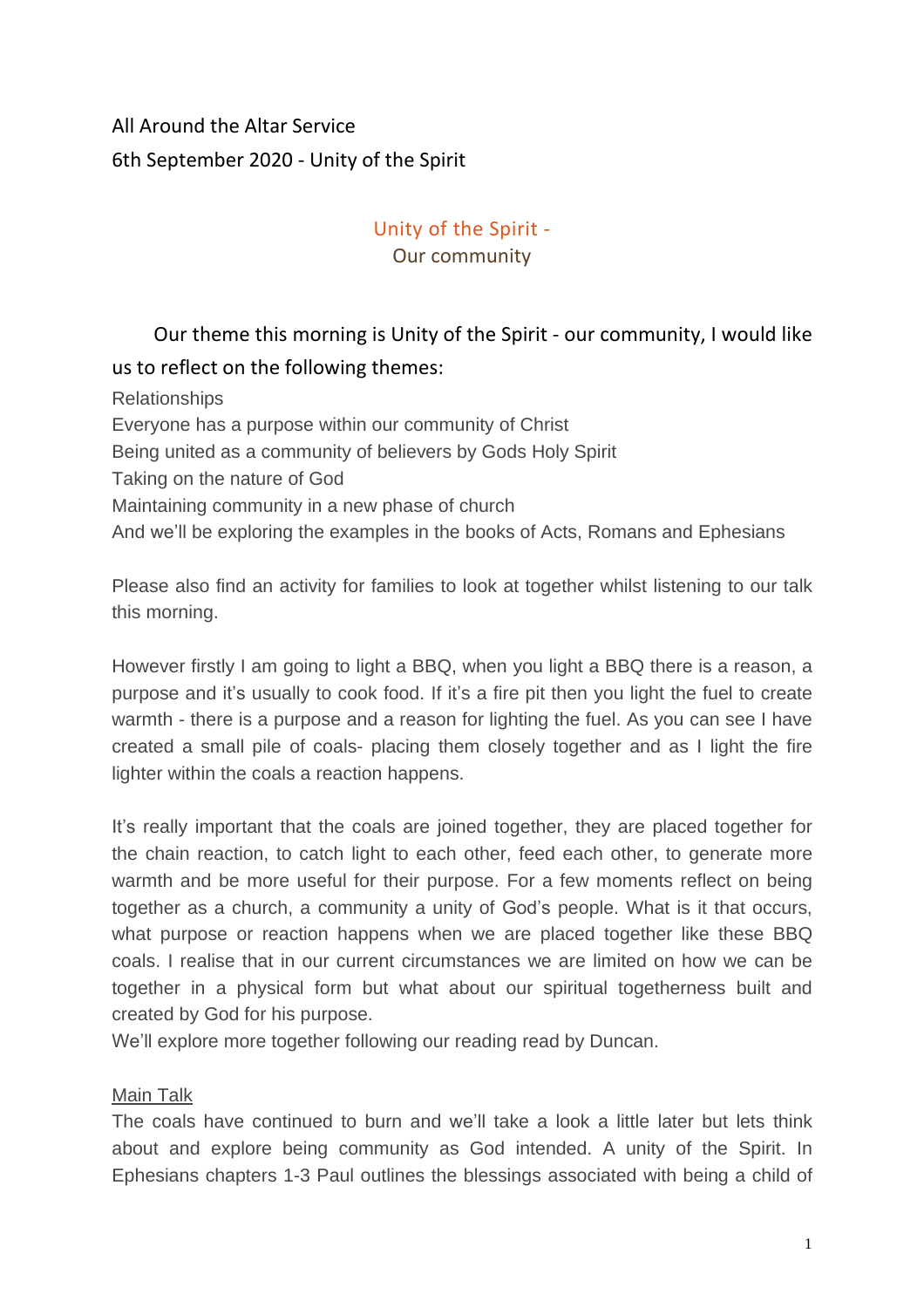## All Around the Altar Service 6th September 2020 - Unity of the Spirit

### Unity of the Spirit - Our community

# Our theme this morning is Unity of the Spirit - our community, I would like us to reflect on the following themes:

Relationships Everyone has a purpose within our community of Christ Being united as a community of believers by Gods Holy Spirit Taking on the nature of God Maintaining community in a new phase of church And we'll be exploring the examples in the books of Acts, Romans and Ephesians

Please also find an activity for families to look at together whilst listening to our talk this morning.

However firstly I am going to light a BBQ, when you light a BBQ there is a reason, a purpose and it's usually to cook food. If it's a fire pit then you light the fuel to create warmth - there is a purpose and a reason for lighting the fuel. As you can see I have created a small pile of coals- placing them closely together and as I light the fire lighter within the coals a reaction happens.

It's really important that the coals are joined together, they are placed together for the chain reaction, to catch light to each other, feed each other, to generate more warmth and be more useful for their purpose. For a few moments reflect on being together as a church, a community a unity of God's people. What is it that occurs, what purpose or reaction happens when we are placed together like these BBQ coals. I realise that in our current circumstances we are limited on how we can be together in a physical form but what about our spiritual togetherness built and created by God for his purpose.

We'll explore more together following our reading read by Duncan.

#### Main Talk

The coals have continued to burn and we'll take a look a little later but lets think about and explore being community as God intended. A unity of the Spirit. In Ephesians chapters 1-3 Paul outlines the blessings associated with being a child of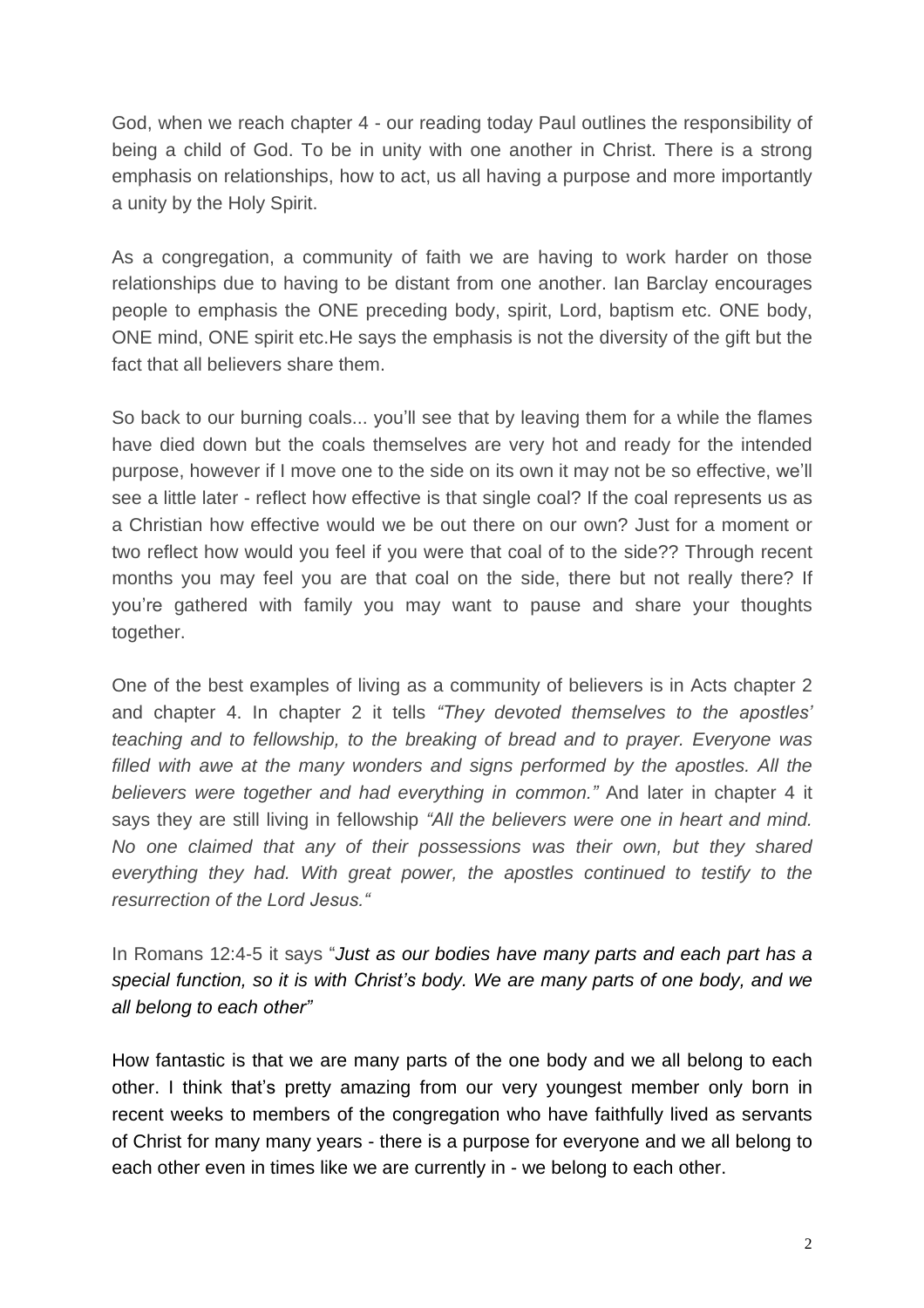God, when we reach chapter 4 - our reading today Paul outlines the responsibility of being a child of God. To be in unity with one another in Christ. There is a strong emphasis on relationships, how to act, us all having a purpose and more importantly a unity by the Holy Spirit.

As a congregation, a community of faith we are having to work harder on those relationships due to having to be distant from one another. Ian Barclay encourages people to emphasis the ONE preceding body, spirit, Lord, baptism etc. ONE body, ONE mind, ONE spirit etc.He says the emphasis is not the diversity of the gift but the fact that all believers share them.

So back to our burning coals... you'll see that by leaving them for a while the flames have died down but the coals themselves are very hot and ready for the intended purpose, however if I move one to the side on its own it may not be so effective, we'll see a little later - reflect how effective is that single coal? If the coal represents us as a Christian how effective would we be out there on our own? Just for a moment or two reflect how would you feel if you were that coal of to the side?? Through recent months you may feel you are that coal on the side, there but not really there? If you're gathered with family you may want to pause and share your thoughts together.

One of the best examples of living as a community of believers is in Acts chapter 2 and chapter 4. In chapter 2 it tells *"They devoted themselves to the apostles' teaching and to fellowship, to the breaking of bread and to prayer. Everyone was filled with awe at the many wonders and signs performed by the apostles. All the believers were together and had everything in common."* And later in chapter 4 it says they are still living in fellowship *"All the believers were one in heart and mind. No one claimed that any of their possessions was their own, but they shared everything they had. With great power, the apostles continued to testify to the resurrection of the Lord Jesus."*

In Romans 12:4-5 it says "*Just as our bodies have many parts and each part has a special function, so it is with Christ's body. We are many parts of one body, and we all belong to each other"*

How fantastic is that we are many parts of the one body and we all belong to each other. I think that's pretty amazing from our very youngest member only born in recent weeks to members of the congregation who have faithfully lived as servants of Christ for many many years - there is a purpose for everyone and we all belong to each other even in times like we are currently in - we belong to each other.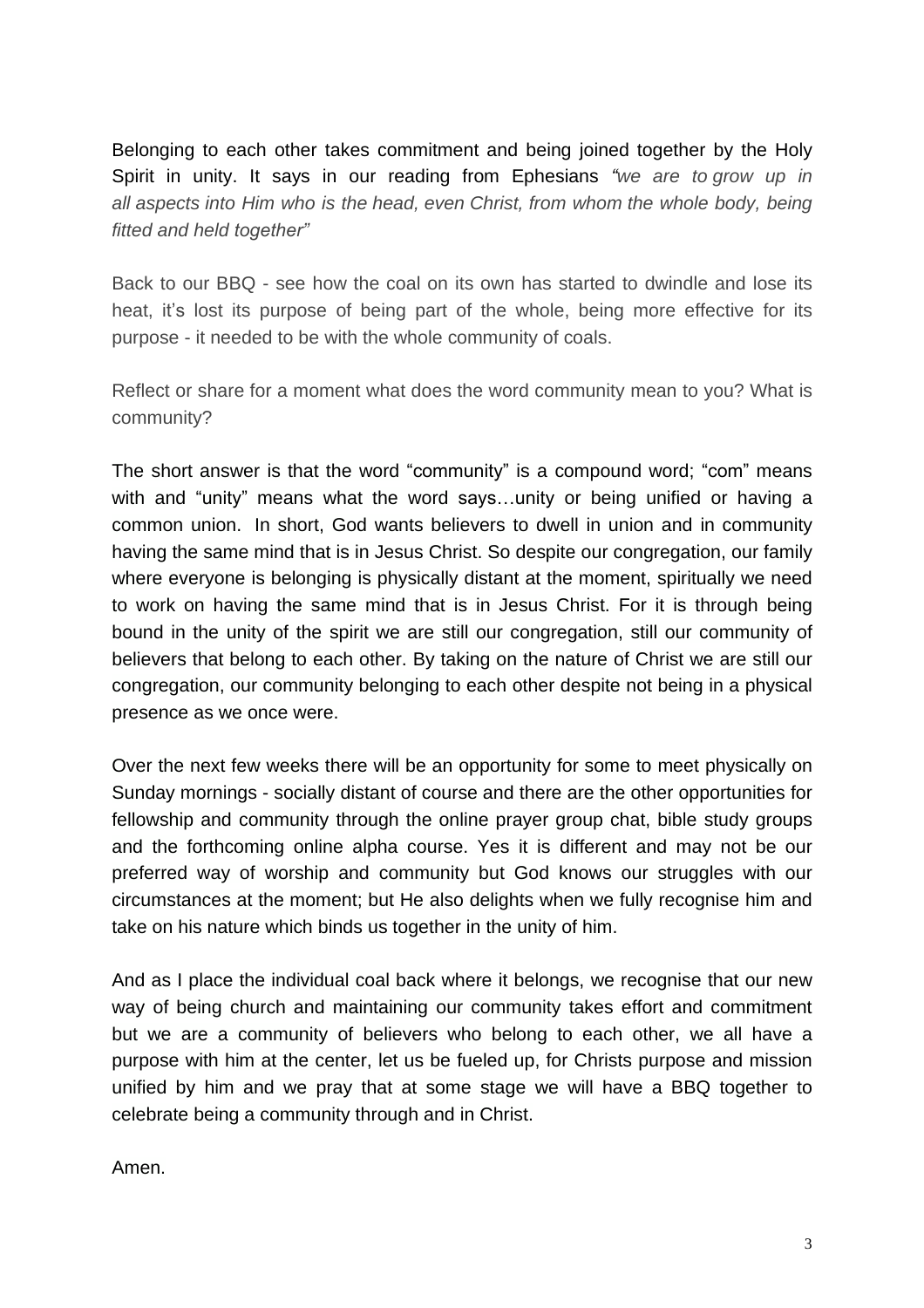Belonging to each other takes commitment and being joined together by the Holy Spirit in unity. It says in our reading from Ephesians *"we are to grow up in all aspects into Him who is the head, even Christ, from whom the whole body, being fitted and held together"*

Back to our BBQ - see how the coal on its own has started to dwindle and lose its heat, it's lost its purpose of being part of the whole, being more effective for its purpose - it needed to be with the whole community of coals.

Reflect or share for a moment what does the word community mean to you? What is community?

The short answer is that the word "community" is a compound word; "com" means with and "unity" means what the word says…unity or being unified or having a common union. In short, God wants believers to dwell in union and in community having the same mind that is in Jesus Christ. So despite our congregation, our family where everyone is belonging is physically distant at the moment, spiritually we need to work on having the same mind that is in Jesus Christ. For it is through being bound in the unity of the spirit we are still our congregation, still our community of believers that belong to each other. By taking on the nature of Christ we are still our congregation, our community belonging to each other despite not being in a physical presence as we once were.

Over the next few weeks there will be an opportunity for some to meet physically on Sunday mornings - socially distant of course and there are the other opportunities for fellowship and community through the online prayer group chat, bible study groups and the forthcoming online alpha course. Yes it is different and may not be our preferred way of worship and community but God knows our struggles with our circumstances at the moment; but He also delights when we fully recognise him and take on his nature which binds us together in the unity of him.

And as I place the individual coal back where it belongs, we recognise that our new way of being church and maintaining our community takes effort and commitment but we are a community of believers who belong to each other, we all have a purpose with him at the center, let us be fueled up, for Christs purpose and mission unified by him and we pray that at some stage we will have a BBQ together to celebrate being a community through and in Christ.

Amen.